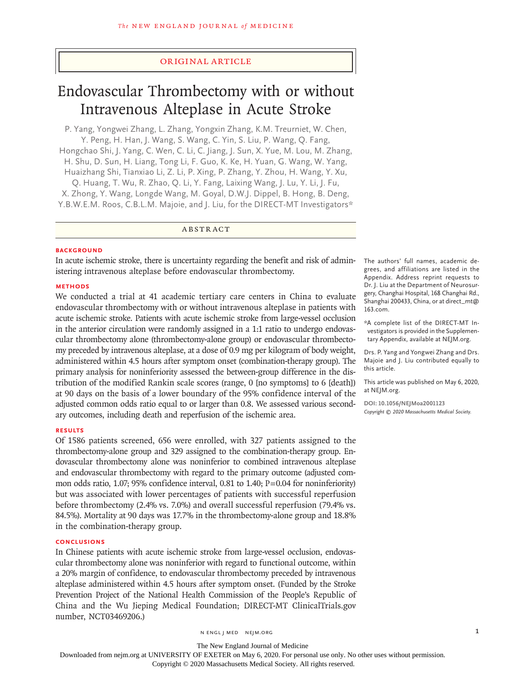# Original Article

# Endovascular Thrombectomy with or without Intravenous Alteplase in Acute Stroke

P. Yang, Yongwei Zhang, L. Zhang, Yongxin Zhang, K.M. Treurniet, W. Chen, Y. Peng, H. Han, J. Wang, S. Wang, C. Yin, S. Liu, P. Wang, Q. Fang, Hongchao Shi, J. Yang, C. Wen, C. Li, C. Jiang, J. Sun, X. Yue, M. Lou, M. Zhang, H. Shu, D. Sun, H. Liang, Tong Li, F. Guo, K. Ke, H. Yuan, G. Wang, W. Yang, Huaizhang Shi, Tianxiao Li, Z. Li, P. Xing, P. Zhang, Y. Zhou, H. Wang, Y. Xu, Q. Huang, T. Wu, R. Zhao, Q. Li, Y. Fang, Laixing Wang, J. Lu, Y. Li, J. Fu, X. Zhong, Y. Wang, Longde Wang, M. Goyal, D.W.J. Dippel, B. Hong, B. Deng, Y.B.W.E.M. Roos, C.B.L.M. Majoie, and J. Liu, for the DIRECT-MT Investigators\*

ABSTRACT

#### **BACKGROUND**

In acute ischemic stroke, there is uncertainty regarding the benefit and risk of administering intravenous alteplase before endovascular thrombectomy.

#### **METHODS**

We conducted a trial at 41 academic tertiary care centers in China to evaluate endovascular thrombectomy with or without intravenous alteplase in patients with acute ischemic stroke. Patients with acute ischemic stroke from large-vessel occlusion in the anterior circulation were randomly assigned in a 1:1 ratio to undergo endovascular thrombectomy alone (thrombectomy-alone group) or endovascular thrombectomy preceded by intravenous alteplase, at a dose of 0.9 mg per kilogram of body weight, administered within 4.5 hours after symptom onset (combination-therapy group). The primary analysis for noninferiority assessed the between-group difference in the distribution of the modified Rankin scale scores (range, 0 [no symptoms] to 6 [death]) at 90 days on the basis of a lower boundary of the 95% confidence interval of the adjusted common odds ratio equal to or larger than 0.8. We assessed various secondary outcomes, including death and reperfusion of the ischemic area.

### **RESULTS**

Of 1586 patients screened, 656 were enrolled, with 327 patients assigned to the thrombectomy-alone group and 329 assigned to the combination-therapy group. Endovascular thrombectomy alone was noninferior to combined intravenous alteplase and endovascular thrombectomy with regard to the primary outcome (adjusted common odds ratio, 1.07; 95% confidence interval, 0.81 to 1.40;  $P = 0.04$  for noninferiority) but was associated with lower percentages of patients with successful reperfusion before thrombectomy (2.4% vs. 7.0%) and overall successful reperfusion (79.4% vs. 84.5%). Mortality at 90 days was 17.7% in the thrombectomy-alone group and 18.8% in the combination-therapy group.

#### **CONCLUSIONS**

In Chinese patients with acute ischemic stroke from large-vessel occlusion, endovascular thrombectomy alone was noninferior with regard to functional outcome, within a 20% margin of confidence, to endovascular thrombectomy preceded by intravenous alteplase administered within 4.5 hours after symptom onset. (Funded by the Stroke Prevention Project of the National Health Commission of the People's Republic of China and the Wu Jieping Medical Foundation; DIRECT-MT ClinicalTrials.gov number, NCT03469206.)

The authors' full names, academic degrees, and affiliations are listed in the Appendix. Address reprint requests to Dr. J. Liu at the Department of Neurosurgery, Changhai Hospital, 168 Changhai Rd., Shanghai 200433, China, or at direct\_mt@ 163.com.

\*A complete list of the DIRECT-MT Investigators is provided in the Supplementary Appendix, available at NEJM.org.

Drs. P. Yang and Yongwei Zhang and Drs. Majoie and J. Liu contributed equally to this article.

This article was published on May 6, 2020, at NEJM.org.

**DOI: 10.1056/NEJMoa2001123** *Copyright © 2020 Massachusetts Medical Society.*

The New England Journal of Medicine

Downloaded from nejm.org at UNIVERSITY OF EXETER on May 6, 2020. For personal use only. No other uses without permission.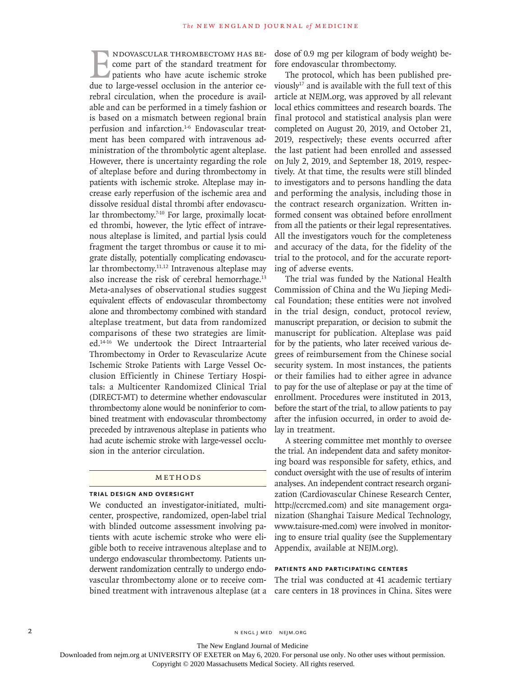NDOVASCULAR THROMBECTOMY HAS BE-<br>
come part of the standard treatment for<br>
patients who have acute ischemic stroke<br>
due to large-vessel occlusion in the anterior cecome part of the standard treatment for patients who have acute ischemic stroke due to large-vessel occlusion in the anterior cerebral circulation, when the procedure is available and can be performed in a timely fashion or is based on a mismatch between regional brain perfusion and infarction.<sup>1-6</sup> Endovascular treatment has been compared with intravenous administration of the thrombolytic agent alteplase. However, there is uncertainty regarding the role of alteplase before and during thrombectomy in patients with ischemic stroke. Alteplase may increase early reperfusion of the ischemic area and dissolve residual distal thrombi after endovascular thrombectomy.<sup>7-10</sup> For large, proximally located thrombi, however, the lytic effect of intravenous alteplase is limited, and partial lysis could fragment the target thrombus or cause it to migrate distally, potentially complicating endovascular thrombectomy.<sup>11,12</sup> Intravenous alteplase may also increase the risk of cerebral hemorrhage.<sup>13</sup> Meta-analyses of observational studies suggest equivalent effects of endovascular thrombectomy alone and thrombectomy combined with standard alteplase treatment, but data from randomized comparisons of these two strategies are limited.14-16 We undertook the Direct Intraarterial Thrombectomy in Order to Revascularize Acute Ischemic Stroke Patients with Large Vessel Occlusion Efficiently in Chinese Tertiary Hospitals: a Multicenter Randomized Clinical Trial (DIRECT-MT) to determine whether endovascular thrombectomy alone would be noninferior to combined treatment with endovascular thrombectomy preceded by intravenous alteplase in patients who had acute ischemic stroke with large-vessel occlusion in the anterior circulation.

#### METHODS

### **Trial Design and Oversight**

We conducted an investigator-initiated, multicenter, prospective, randomized, open-label trial with blinded outcome assessment involving patients with acute ischemic stroke who were eligible both to receive intravenous alteplase and to undergo endovascular thrombectomy. Patients underwent randomization centrally to undergo endovascular thrombectomy alone or to receive combined treatment with intravenous alteplase (at a

dose of 0.9 mg per kilogram of body weight) before endovascular thrombectomy.

The protocol, which has been published previously<sup>17</sup> and is available with the full text of this article at NEJM.org, was approved by all relevant local ethics committees and research boards. The final protocol and statistical analysis plan were completed on August 20, 2019, and October 21, 2019, respectively; these events occurred after the last patient had been enrolled and assessed on July 2, 2019, and September 18, 2019, respectively. At that time, the results were still blinded to investigators and to persons handling the data and performing the analysis, including those in the contract research organization. Written informed consent was obtained before enrollment from all the patients or their legal representatives. All the investigators vouch for the completeness and accuracy of the data, for the fidelity of the trial to the protocol, and for the accurate reporting of adverse events.

The trial was funded by the National Health Commission of China and the Wu Jieping Medical Foundation; these entities were not involved in the trial design, conduct, protocol review, manuscript preparation, or decision to submit the manuscript for publication. Alteplase was paid for by the patients, who later received various degrees of reimbursement from the Chinese social security system. In most instances, the patients or their families had to either agree in advance to pay for the use of alteplase or pay at the time of enrollment. Procedures were instituted in 2013, before the start of the trial, to allow patients to pay after the infusion occurred, in order to avoid delay in treatment.

A steering committee met monthly to oversee the trial. An independent data and safety monitoring board was responsible for safety, ethics, and conduct oversight with the use of results of interim analyses. An independent contract research organization (Cardiovascular Chinese Research Center, http://ccrcmed.com) and site management organization (Shanghai Taisure Medical Technology, www.taisure-med.com) were involved in monitoring to ensure trial quality (see the Supplementary Appendix, available at NEJM.org).

## **Patients and Participating Centers**

The trial was conducted at 41 academic tertiary care centers in 18 provinces in China. Sites were

2 N ENGL J MED NEJM.ORG

The New England Journal of Medicine

Downloaded from nejm.org at UNIVERSITY OF EXETER on May 6, 2020. For personal use only. No other uses without permission.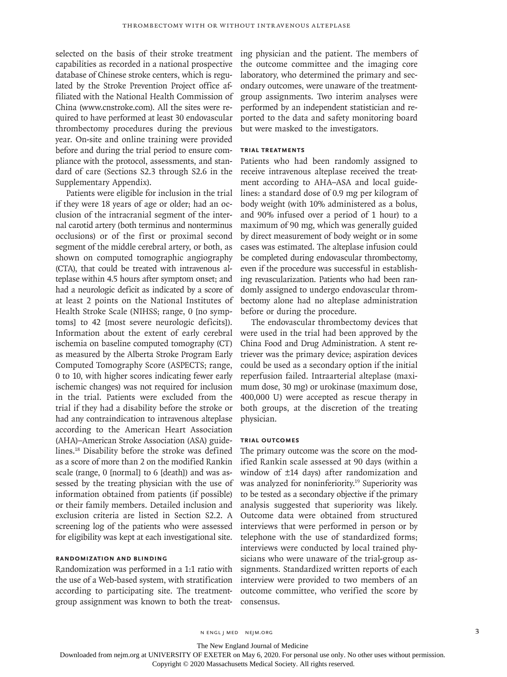selected on the basis of their stroke treatment capabilities as recorded in a national prospective database of Chinese stroke centers, which is regulated by the Stroke Prevention Project office affiliated with the National Health Commission of China (www.cnstroke.com). All the sites were required to have performed at least 30 endovascular thrombectomy procedures during the previous year. On-site and online training were provided before and during the trial period to ensure compliance with the protocol, assessments, and standard of care (Sections S2.3 through S2.6 in the Supplementary Appendix).

Patients were eligible for inclusion in the trial if they were 18 years of age or older; had an occlusion of the intracranial segment of the internal carotid artery (both terminus and nonterminus occlusions) or of the first or proximal second segment of the middle cerebral artery, or both, as shown on computed tomographic angiography (CTA), that could be treated with intravenous alteplase within 4.5 hours after symptom onset; and had a neurologic deficit as indicated by a score of at least 2 points on the National Institutes of Health Stroke Scale (NIHSS; range, 0 [no symptoms] to 42 [most severe neurologic deficits]). Information about the extent of early cerebral ischemia on baseline computed tomography (CT) as measured by the Alberta Stroke Program Early Computed Tomography Score (ASPECTS; range, 0 to 10, with higher scores indicating fewer early ischemic changes) was not required for inclusion in the trial. Patients were excluded from the trial if they had a disability before the stroke or had any contraindication to intravenous alteplase according to the American Heart Association (AHA)–American Stroke Association (ASA) guidelines.18 Disability before the stroke was defined as a score of more than 2 on the modified Rankin scale (range, 0 [normal] to 6 [death]) and was assessed by the treating physician with the use of information obtained from patients (if possible) or their family members. Detailed inclusion and exclusion criteria are listed in Section S2.2. A screening log of the patients who were assessed for eligibility was kept at each investigational site.

# **Randomization and Blinding**

Randomization was performed in a 1:1 ratio with the use of a Web-based system, with stratification according to participating site. The treatmentgroup assignment was known to both the treating physician and the patient. The members of the outcome committee and the imaging core laboratory, who determined the primary and secondary outcomes, were unaware of the treatmentgroup assignments. Two interim analyses were performed by an independent statistician and reported to the data and safety monitoring board but were masked to the investigators.

# **Trial Treatments**

Patients who had been randomly assigned to receive intravenous alteplase received the treatment according to AHA–ASA and local guidelines: a standard dose of 0.9 mg per kilogram of body weight (with 10% administered as a bolus, and 90% infused over a period of 1 hour) to a maximum of 90 mg, which was generally guided by direct measurement of body weight or in some cases was estimated. The alteplase infusion could be completed during endovascular thrombectomy, even if the procedure was successful in establishing revascularization. Patients who had been randomly assigned to undergo endovascular thrombectomy alone had no alteplase administration before or during the procedure.

The endovascular thrombectomy devices that were used in the trial had been approved by the China Food and Drug Administration. A stent retriever was the primary device; aspiration devices could be used as a secondary option if the initial reperfusion failed. Intraarterial alteplase (maximum dose, 30 mg) or urokinase (maximum dose, 400,000 U) were accepted as rescue therapy in both groups, at the discretion of the treating physician.

## **Trial Outcomes**

The primary outcome was the score on the modified Rankin scale assessed at 90 days (within a window of ±14 days) after randomization and was analyzed for noninferiority.19 Superiority was to be tested as a secondary objective if the primary analysis suggested that superiority was likely. Outcome data were obtained from structured interviews that were performed in person or by telephone with the use of standardized forms; interviews were conducted by local trained physicians who were unaware of the trial-group assignments. Standardized written reports of each interview were provided to two members of an outcome committee, who verified the score by consensus.

n engl j med nejm.org 3

The New England Journal of Medicine

Downloaded from nejm.org at UNIVERSITY OF EXETER on May 6, 2020. For personal use only. No other uses without permission.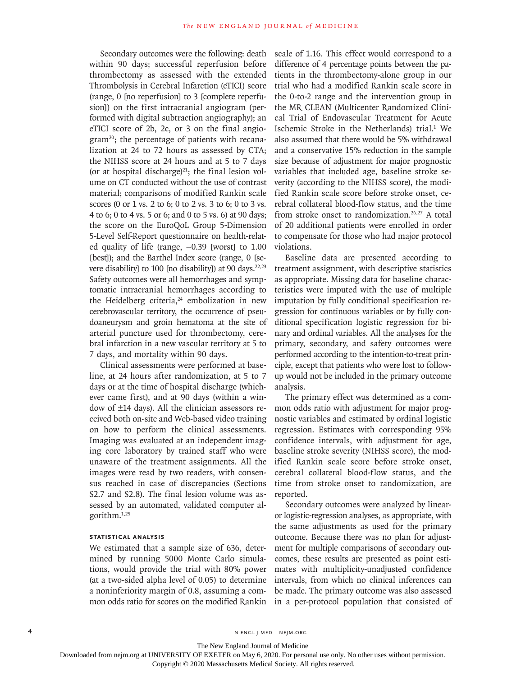Secondary outcomes were the following: death within 90 days; successful reperfusion before thrombectomy as assessed with the extended Thrombolysis in Cerebral Infarction (eTICI) score (range, 0 [no reperfusion] to 3 [complete reperfusion]) on the first intracranial angiogram (performed with digital subtraction angiography); an eTICI score of 2b, 2c, or 3 on the final angiogram<sup>20</sup>; the percentage of patients with recanalization at 24 to 72 hours as assessed by CTA; the NIHSS score at 24 hours and at 5 to 7 days (or at hospital discharge) $21$ ; the final lesion volume on CT conducted without the use of contrast material; comparisons of modified Rankin scale scores (0 or 1 vs. 2 to 6; 0 to 2 vs. 3 to 6; 0 to 3 vs. 4 to 6; 0 to 4 vs. 5 or 6; and 0 to 5 vs. 6) at 90 days; the score on the EuroQoL Group 5-Dimension 5-Level Self-Report questionnaire on health-related quality of life (range,  $-0.39$  [worst] to 1.00 [best]); and the Barthel Index score (range, 0 [severe disability] to 100 [no disability]) at 90 days.<sup>22,23</sup> Safety outcomes were all hemorrhages and symptomatic intracranial hemorrhages according to the Heidelberg criteria,<sup>24</sup> embolization in new cerebrovascular territory, the occurrence of pseudoaneurysm and groin hematoma at the site of arterial puncture used for thrombectomy, cerebral infarction in a new vascular territory at 5 to 7 days, and mortality within 90 days.

Clinical assessments were performed at baseline, at 24 hours after randomization, at 5 to 7 days or at the time of hospital discharge (whichever came first), and at 90 days (within a window of ±14 days). All the clinician assessors received both on-site and Web-based video training on how to perform the clinical assessments. Imaging was evaluated at an independent imaging core laboratory by trained staff who were unaware of the treatment assignments. All the images were read by two readers, with consensus reached in case of discrepancies (Sections S2.7 and S2.8). The final lesion volume was assessed by an automated, validated computer algorithm.1,25

# **Statistical Analysis**

We estimated that a sample size of 636, determined by running 5000 Monte Carlo simulations, would provide the trial with 80% power (at a two-sided alpha level of 0.05) to determine a noninferiority margin of 0.8, assuming a common odds ratio for scores on the modified Rankin scale of 1.16. This effect would correspond to a difference of 4 percentage points between the patients in the thrombectomy-alone group in our trial who had a modified Rankin scale score in the 0-to-2 range and the intervention group in the MR CLEAN (Multicenter Randomized Clinical Trial of Endovascular Treatment for Acute Ischemic Stroke in the Netherlands) trial.<sup>1</sup> We also assumed that there would be 5% withdrawal and a conservative 15% reduction in the sample size because of adjustment for major prognostic variables that included age, baseline stroke severity (according to the NIHSS score), the modified Rankin scale score before stroke onset, cerebral collateral blood-flow status, and the time from stroke onset to randomization.<sup>26,27</sup> A total of 20 additional patients were enrolled in order to compensate for those who had major protocol violations.

Baseline data are presented according to treatment assignment, with descriptive statistics as appropriate. Missing data for baseline characteristics were imputed with the use of multiple imputation by fully conditional specification regression for continuous variables or by fully conditional specification logistic regression for binary and ordinal variables. All the analyses for the primary, secondary, and safety outcomes were performed according to the intention-to-treat principle, except that patients who were lost to followup would not be included in the primary outcome analysis.

The primary effect was determined as a common odds ratio with adjustment for major prognostic variables and estimated by ordinal logistic regression. Estimates with corresponding 95% confidence intervals, with adjustment for age, baseline stroke severity (NIHSS score), the modified Rankin scale score before stroke onset, cerebral collateral blood-flow status, and the time from stroke onset to randomization, are reported.

Secondary outcomes were analyzed by linearor logistic-regression analyses, as appropriate, with the same adjustments as used for the primary outcome. Because there was no plan for adjustment for multiple comparisons of secondary outcomes, these results are presented as point estimates with multiplicity-unadjusted confidence intervals, from which no clinical inferences can be made. The primary outcome was also assessed in a per-protocol population that consisted of

4 **n engl j med negl j med nejm.org** N ENGL J MED NEJM.ORG

The New England Journal of Medicine

Downloaded from nejm.org at UNIVERSITY OF EXETER on May 6, 2020. For personal use only. No other uses without permission.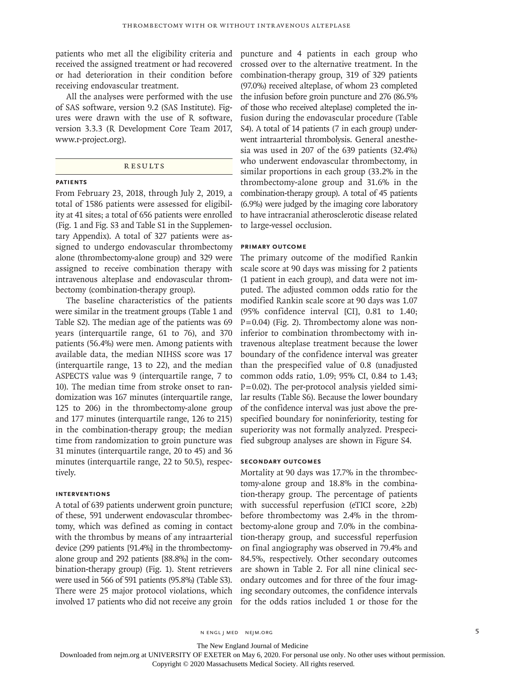patients who met all the eligibility criteria and received the assigned treatment or had recovered or had deterioration in their condition before receiving endovascular treatment.

All the analyses were performed with the use of SAS software, version 9.2 (SAS Institute). Figures were drawn with the use of R software, version 3.3.3 (R Development Core Team 2017, www.r-project.org).

## **RESULTS**

#### **Patients**

From February 23, 2018, through July 2, 2019, a total of 1586 patients were assessed for eligibility at 41 sites; a total of 656 patients were enrolled (Fig. 1 and Fig. S3 and Table S1 in the Supplementary Appendix). A total of 327 patients were assigned to undergo endovascular thrombectomy alone (thrombectomy-alone group) and 329 were assigned to receive combination therapy with intravenous alteplase and endovascular thrombectomy (combination-therapy group).

The baseline characteristics of the patients were similar in the treatment groups (Table 1 and Table S2). The median age of the patients was 69 years (interquartile range, 61 to 76), and 370 patients (56.4%) were men. Among patients with available data, the median NIHSS score was 17 (interquartile range, 13 to 22), and the median ASPECTS value was 9 (interquartile range, 7 to 10). The median time from stroke onset to randomization was 167 minutes (interquartile range, 125 to 206) in the thrombectomy-alone group and 177 minutes (interquartile range, 126 to 215) in the combination-therapy group; the median time from randomization to groin puncture was 31 minutes (interquartile range, 20 to 45) and 36 minutes (interquartile range, 22 to 50.5), respectively.

### **Interventions**

A total of 639 patients underwent groin puncture; of these, 591 underwent endovascular thrombectomy, which was defined as coming in contact with the thrombus by means of any intraarterial device (299 patients [91.4%] in the thrombectomyalone group and 292 patients [88.8%] in the combination-therapy group) (Fig. 1). Stent retrievers were used in 566 of 591 patients (95.8%) (Table S3). There were 25 major protocol violations, which involved 17 patients who did not receive any groin

puncture and 4 patients in each group who crossed over to the alternative treatment. In the combination-therapy group, 319 of 329 patients (97.0%) received alteplase, of whom 23 completed the infusion before groin puncture and 276 (86.5% of those who received alteplase) completed the infusion during the endovascular procedure (Table S4). A total of 14 patients (7 in each group) underwent intraarterial thrombolysis. General anesthesia was used in 207 of the 639 patients (32.4%) who underwent endovascular thrombectomy, in similar proportions in each group (33.2% in the thrombectomy-alone group and 31.6% in the combination-therapy group). A total of 45 patients (6.9%) were judged by the imaging core laboratory to have intracranial atherosclerotic disease related to large-vessel occlusion.

#### **Primary Outcome**

The primary outcome of the modified Rankin scale score at 90 days was missing for 2 patients (1 patient in each group), and data were not imputed. The adjusted common odds ratio for the modified Rankin scale score at 90 days was 1.07 (95% confidence interval [CI], 0.81 to 1.40;  $P=0.04$ ) (Fig. 2). Thrombectomy alone was noninferior to combination thrombectomy with intravenous alteplase treatment because the lower boundary of the confidence interval was greater than the prespecified value of 0.8 (unadjusted common odds ratio, 1.09; 95% CI, 0.84 to 1.43; P=0.02). The per-protocol analysis yielded similar results (Table S6). Because the lower boundary of the confidence interval was just above the prespecified boundary for noninferiority, testing for superiority was not formally analyzed. Prespecified subgroup analyses are shown in Figure S4.

## **Secondary Outcomes**

Mortality at 90 days was 17.7% in the thrombectomy-alone group and 18.8% in the combination-therapy group. The percentage of patients with successful reperfusion (eTICI score, ≥2b) before thrombectomy was 2.4% in the thrombectomy-alone group and 7.0% in the combination-therapy group, and successful reperfusion on final angiography was observed in 79.4% and 84.5%, respectively. Other secondary outcomes are shown in Table 2. For all nine clinical secondary outcomes and for three of the four imaging secondary outcomes, the confidence intervals for the odds ratios included 1 or those for the

n engl j med nejm.org 5

The New England Journal of Medicine

Downloaded from nejm.org at UNIVERSITY OF EXETER on May 6, 2020. For personal use only. No other uses without permission.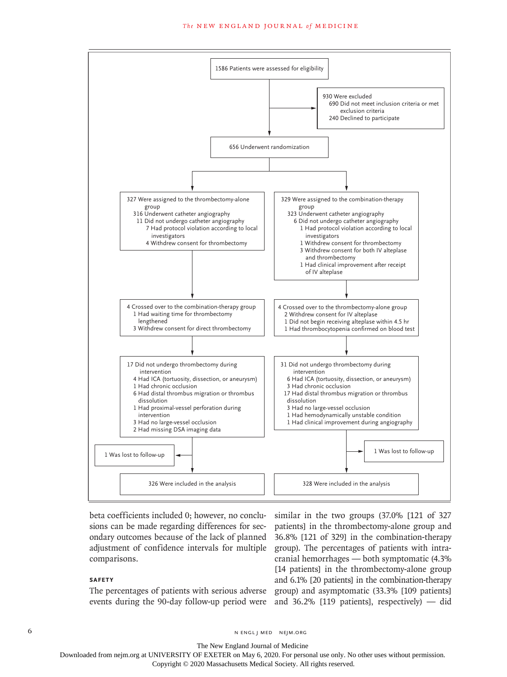#### **The NEW ENGLAND JOURNAL of MEDICINE**



beta coefficients included 0; however, no conclusions can be made regarding differences for secondary outcomes because of the lack of planned adjustment of confidence intervals for multiple comparisons.

# **Safety**

events during the 90-day follow-up period were and 36.2% [119 patients], respectively) — did

The percentages of patients with serious adverse group) and asymptomatic (33.3% [109 patients] similar in the two groups (37.0% [121 of 327 patients] in the thrombectomy-alone group and 36.8% [121 of 329] in the combination-therapy group). The percentages of patients with intracranial hemorrhages — both symptomatic (4.3% [14 patients] in the thrombectomy-alone group and 6.1% [20 patients] in the combination-therapy

6 **n** engl j med nejm.org neighbors in the neutral media  $\frac{1}{2}$  media  $\frac{1}{2}$  media  $\frac{1}{2}$  media  $\frac{1}{2}$  media  $\frac{1}{2}$  media  $\frac{1}{2}$  media  $\frac{1}{2}$  media  $\frac{1}{2}$  media  $\frac{1}{2}$  media  $\frac{1}{2}$  media  $\frac{1$ 

The New England Journal of Medicine

Downloaded from nejm.org at UNIVERSITY OF EXETER on May 6, 2020. For personal use only. No other uses without permission.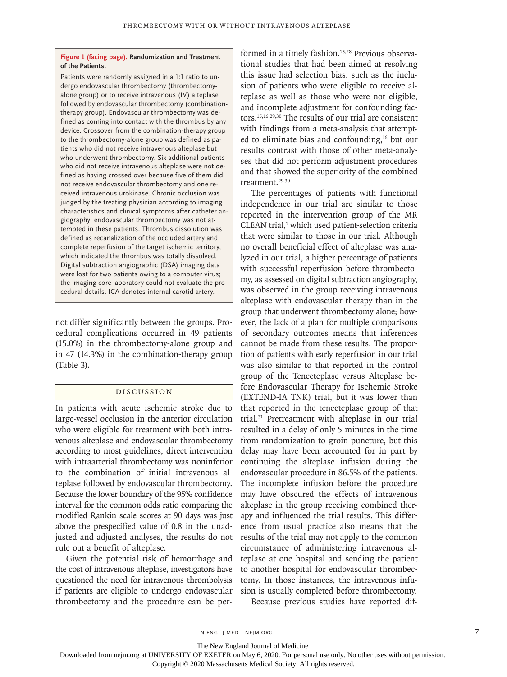#### **Figure 1 (facing page). Randomization and Treatment of the Patients.**

Patients were randomly assigned in a 1:1 ratio to undergo endovascular thrombectomy (thrombectomyalone group) or to receive intravenous (IV) alteplase followed by endovascular thrombectomy (combinationtherapy group). Endovascular thrombectomy was defined as coming into contact with the thrombus by any device. Crossover from the combination-therapy group to the thrombectomy-alone group was defined as patients who did not receive intravenous alteplase but who underwent thrombectomy. Six additional patients who did not receive intravenous alteplase were not defined as having crossed over because five of them did not receive endovascular thrombectomy and one received intravenous urokinase. Chronic occlusion was judged by the treating physician according to imaging characteristics and clinical symptoms after catheter angiography; endovascular thrombectomy was not attempted in these patients. Thrombus dissolution was defined as recanalization of the occluded artery and complete reperfusion of the target ischemic territory, which indicated the thrombus was totally dissolved. Digital subtraction angiographic (DSA) imaging data were lost for two patients owing to a computer virus; the imaging core laboratory could not evaluate the procedural details. ICA denotes internal carotid artery.

not differ significantly between the groups. Procedural complications occurred in 49 patients (15.0%) in the thrombectomy-alone group and in 47 (14.3%) in the combination-therapy group (Table 3).

# Discussion

In patients with acute ischemic stroke due to large-vessel occlusion in the anterior circulation who were eligible for treatment with both intravenous alteplase and endovascular thrombectomy according to most guidelines, direct intervention with intraarterial thrombectomy was noninferior to the combination of initial intravenous alteplase followed by endovascular thrombectomy. Because the lower boundary of the 95% confidence interval for the common odds ratio comparing the modified Rankin scale scores at 90 days was just above the prespecified value of 0.8 in the unadjusted and adjusted analyses, the results do not rule out a benefit of alteplase.

Given the potential risk of hemorrhage and the cost of intravenous alteplase, investigators have questioned the need for intravenous thrombolysis if patients are eligible to undergo endovascular thrombectomy and the procedure can be performed in a timely fashion.<sup>13,28</sup> Previous observational studies that had been aimed at resolving this issue had selection bias, such as the inclusion of patients who were eligible to receive alteplase as well as those who were not eligible, and incomplete adjustment for confounding factors.15,16,29,30 The results of our trial are consistent with findings from a meta-analysis that attempted to eliminate bias and confounding,16 but our results contrast with those of other meta-analyses that did not perform adjustment procedures and that showed the superiority of the combined treatment.<sup>29,30</sup>

The percentages of patients with functional independence in our trial are similar to those reported in the intervention group of the MR CLEAN trial,<sup>1</sup> which used patient-selection criteria that were similar to those in our trial. Although no overall beneficial effect of alteplase was analyzed in our trial, a higher percentage of patients with successful reperfusion before thrombectomy, as assessed on digital subtraction angiography, was observed in the group receiving intravenous alteplase with endovascular therapy than in the group that underwent thrombectomy alone; however, the lack of a plan for multiple comparisons of secondary outcomes means that inferences cannot be made from these results. The proportion of patients with early reperfusion in our trial was also similar to that reported in the control group of the Tenecteplase versus Alteplase before Endovascular Therapy for Ischemic Stroke (EXTEND-IA TNK) trial, but it was lower than that reported in the tenecteplase group of that trial.31 Pretreatment with alteplase in our trial resulted in a delay of only 5 minutes in the time from randomization to groin puncture, but this delay may have been accounted for in part by continuing the alteplase infusion during the endovascular procedure in 86.5% of the patients. The incomplete infusion before the procedure may have obscured the effects of intravenous alteplase in the group receiving combined therapy and influenced the trial results. This difference from usual practice also means that the results of the trial may not apply to the common circumstance of administering intravenous alteplase at one hospital and sending the patient to another hospital for endovascular thrombectomy. In those instances, the intravenous infusion is usually completed before thrombectomy.

Because previous studies have reported dif-

The New England Journal of Medicine

Downloaded from nejm.org at UNIVERSITY OF EXETER on May 6, 2020. For personal use only. No other uses without permission.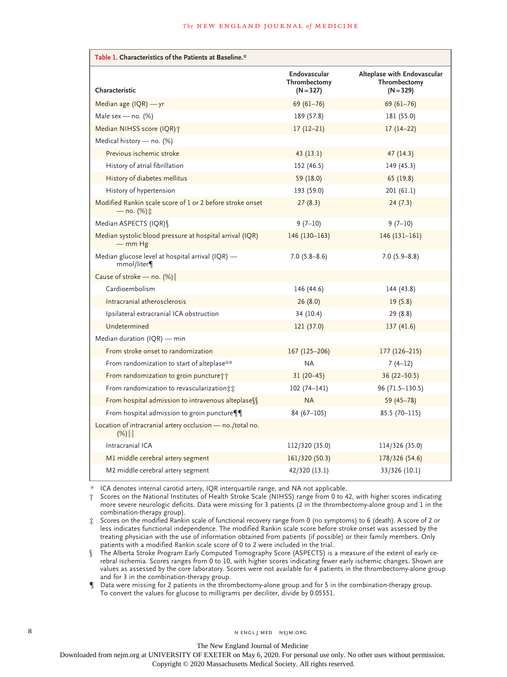| Table 1. Characteristics of the Patients at Baseline.*                  |                                             |                                                            |  |  |  |
|-------------------------------------------------------------------------|---------------------------------------------|------------------------------------------------------------|--|--|--|
| Characteristic                                                          | Endovascular<br>Thrombectomy<br>$(N = 327)$ | Alteplase with Endovascular<br>Thrombectomy<br>$(N = 329)$ |  |  |  |
| Median age $(IQR) - yr$                                                 | $69(61 - 76)$                               | $69(61-76)$                                                |  |  |  |
| Male sex - no. $(%)$                                                    | 189 (57.8)                                  | 181 (55.0)                                                 |  |  |  |
| Median NIHSS score (IQR)+                                               | $17(12-21)$                                 | $17(14-22)$                                                |  |  |  |
| Medical history - no. (%)                                               |                                             |                                                            |  |  |  |
| Previous ischemic stroke                                                | 43(13.1)                                    | 47(14.3)                                                   |  |  |  |
| History of atrial fibrillation                                          | 152 (46.5)                                  | 149 (45.3)                                                 |  |  |  |
| History of diabetes mellitus                                            | 59 (18.0)                                   | 65 (19.8)                                                  |  |  |  |
| History of hypertension                                                 | 193 (59.0)                                  | 201 (61.1)                                                 |  |  |  |
| Modified Rankin scale score of 1 or 2 before stroke onset<br>— no. (%)‡ | 27(8.3)                                     | 24(7.3)                                                    |  |  |  |
| Median ASPECTS (IQR) \                                                  | $9(7-10)$                                   | $9(7-10)$                                                  |  |  |  |
| Median systolic blood pressure at hospital arrival (IQR)<br>$-$ mm Hg   | 146 (130-163)                               | $146(131-161)$                                             |  |  |  |
| Median glucose level at hospital arrival (IQR) -<br>mmol/liter¶         | $7.0(5.8 - 8.6)$                            | $7.0(5.9 - 8.8)$                                           |  |  |  |
| Cause of stroke - no. (%)                                               |                                             |                                                            |  |  |  |
| Cardioembolism                                                          | 146 (44.6)                                  | 144 (43.8)                                                 |  |  |  |
| Intracranial atherosclerosis                                            | 26(8.0)                                     | 19(5.8)                                                    |  |  |  |
| Ipsilateral extracranial ICA obstruction                                | 34 (10.4)                                   | 29 (8.8)                                                   |  |  |  |
| Undetermined                                                            | 121 (37.0)                                  | 137(41.6)                                                  |  |  |  |
| Median duration (IQR) - min                                             |                                             |                                                            |  |  |  |
| From stroke onset to randomization                                      | 167 (125-206)                               | 177 (126-215)                                              |  |  |  |
| From randomization to start of alteplase**                              | <b>NA</b>                                   | $7(4-12)$                                                  |  |  |  |
| From randomization to groin puncture i                                  | $31(20-45)$                                 | $36(22 - 50.5)$                                            |  |  |  |
| From randomization to revascularization:                                | $102(74 - 141)$                             | 96 (71.5-130.5)                                            |  |  |  |
| From hospital admission to intravenous alteplase \\                     | <b>NA</b>                                   | $59(45 - 78)$                                              |  |  |  |
| From hospital admission to groin puncture¶¶                             | $84(67-105)$                                | $85.5(70-115)$                                             |  |  |  |
| Location of intracranial artery occlusion - no./total no.<br>$(%)$      |                                             |                                                            |  |  |  |
| Intracranial ICA                                                        | 112/320 (35.0)                              | 114/326 (35.0)                                             |  |  |  |
| M1 middle cerebral artery segment                                       | 161/320 (50.3)                              | 178/326 (54.6)                                             |  |  |  |
| M2 middle cerebral artery segment                                       | 42/320 (13.1)                               | 33/326 (10.1)                                              |  |  |  |

\* ICA denotes internal carotid artery, IQR interquartile range, and NA not applicable.

† Scores on the National Institutes of Health Stroke Scale (NIHSS) range from 0 to 42, with higher scores indicating more severe neurologic deficits. Data were missing for 3 patients (2 in the thrombectomy-alone group and 1 in the combination-therapy group).

‡ Scores on the modified Rankin scale of functional recovery range from 0 (no symptoms) to 6 (death). A score of 2 or less indicates functional independence. The modified Rankin scale score before stroke onset was assessed by the treating physician with the use of information obtained from patients (if possible) or their family members. Only patients with a modified Rankin scale score of 0 to 2 were included in the trial.

§ The Alberta Stroke Program Early Computed Tomography Score (ASPECTS) is a measure of the extent of early cerebral ischemia. Scores ranges from 0 to 10, with higher scores indicating fewer early ischemic changes. Shown are values as assessed by the core laboratory. Scores were not available for 4 patients in the thrombectomy-alone group and for 3 in the combination-therapy group.

¶ Data were missing for 2 patients in the thrombectomy-alone group and for 5 in the combination-therapy group. To convert the values for glucose to milligrams per deciliter, divide by 0.05551.

The New England Journal of Medicine

Downloaded from nejm.org at UNIVERSITY OF EXETER on May 6, 2020. For personal use only. No other uses without permission.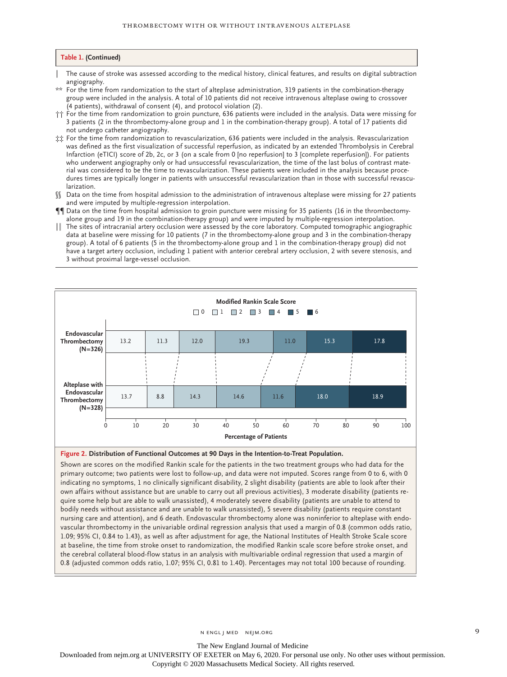#### **Table 1. (Continued)**

The cause of stroke was assessed according to the medical history, clinical features, and results on digital subtraction angiography.

- \*\* For the time from randomization to the start of alteplase administration, 319 patients in the combination-therapy group were included in the analysis. A total of 10 patients did not receive intravenous alteplase owing to crossover (4 patients), withdrawal of consent (4), and protocol violation (2).
- †† For the time from randomization to groin puncture, 636 patients were included in the analysis. Data were missing for 3 patients (2 in the thrombectomy-alone group and 1 in the combination-therapy group). A total of 17 patients did not undergo catheter angiography.
- ‡‡ For the time from randomization to revascularization, 636 patients were included in the analysis. Revascularization was defined as the first visualization of successful reperfusion, as indicated by an extended Thrombolysis in Cerebral Infarction (eTICI) score of 2b, 2c, or 3 (on a scale from 0 [no reperfusion] to 3 [complete reperfusion]). For patients who underwent angiography only or had unsuccessful revascularization, the time of the last bolus of contrast material was considered to be the time to revascularization. These patients were included in the analysis because procedures times are typically longer in patients with unsuccessful revascularization than in those with successful revascularization.
- §§ Data on the time from hospital admission to the administration of intravenous alteplase were missing for 27 patients and were imputed by multiple-regression interpolation.
- ¶¶ Data on the time from hospital admission to groin puncture were missing for 35 patients (16 in the thrombectomyalone group and 19 in the combination-therapy group) and were imputed by multiple-regression interpolation.
- The sites of intracranial artery occlusion were assessed by the core laboratory. Computed tomographic angiographic data at baseline were missing for 10 patients (7 in the thrombectomy-alone group and 3 in the combination-therapy group). A total of 6 patients (5 in the thrombectomy-alone group and 1 in the combination-therapy group) did not have a target artery occlusion, including 1 patient with anterior cerebral artery occlusion, 2 with severe stenosis, and 3 without proximal large-vessel occlusion.



# **Figure 2. Distribution of Functional Outcomes at 90 Days in the Intention-to-Treat Population.**

Shown are scores on the modified Rankin scale for the patients in the two treatment groups who had data for the primary outcome; two patients were lost to follow-up, and data were not imputed. Scores range from 0 to 6, with 0 indicating no symptoms, 1 no clinically significant disability, 2 slight disability (patients are able to look after their own affairs without assistance but are unable to carry out all previous activities), 3 moderate disability (patients require some help but are able to walk unassisted), 4 moderately severe disability (patients are unable to attend to bodily needs without assistance and are unable to walk unassisted), 5 severe disability (patients require constant nursing care and attention), and 6 death. Endovascular thrombectomy alone was noninferior to alteplase with endovascular thrombectomy in the univariable ordinal regression analysis that used a margin of 0.8 (common odds ratio, 1.09; 95% CI, 0.84 to 1.43), as well as after adjustment for age, the National Institutes of Health Stroke Scale score at baseline, the time from stroke onset to randomization, the modified Rankin scale score before stroke onset, and the cerebral collateral blood-flow status in an analysis with multivariable ordinal regression that used a margin of 0.8 (adjusted common odds ratio, 1.07; 95% CI, 0.81 to 1.40). Percentages may not total 100 because of rounding.

n engl j med nejm.org 9

The New England Journal of Medicine

Downloaded from nejm.org at UNIVERSITY OF EXETER on May 6, 2020. For personal use only. No other uses without permission.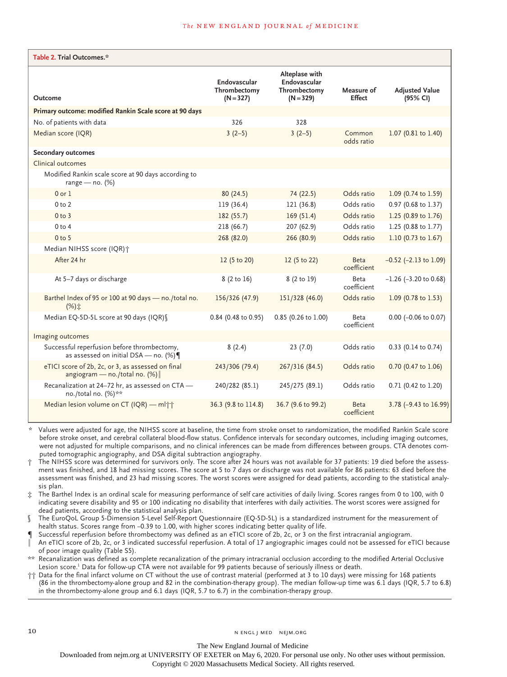| Table 2. Trial Outcomes.*                                                                |                                             |                                                               |                             |                                   |
|------------------------------------------------------------------------------------------|---------------------------------------------|---------------------------------------------------------------|-----------------------------|-----------------------------------|
| Outcome                                                                                  | Endovascular<br>Thrombectomy<br>$(N = 327)$ | Alteplase with<br>Endovascular<br>Thrombectomy<br>$(N = 329)$ | Measure of<br><b>Effect</b> | <b>Adjusted Value</b><br>(95% CI) |
| Primary outcome: modified Rankin Scale score at 90 days                                  |                                             |                                                               |                             |                                   |
| No. of patients with data                                                                | 326                                         | 328                                                           |                             |                                   |
| Median score (IQR)                                                                       | $3(2-5)$                                    | $3(2-5)$                                                      | Common<br>odds ratio        | 1.07 (0.81 to 1.40)               |
| Secondary outcomes                                                                       |                                             |                                                               |                             |                                   |
| Clinical outcomes                                                                        |                                             |                                                               |                             |                                   |
| Modified Rankin scale score at 90 days according to<br>range — $no.$ (%)                 |                                             |                                                               |                             |                                   |
| $0$ or $1$                                                                               | 80(24.5)                                    | 74 (22.5)                                                     | Odds ratio                  | 1.09 (0.74 to 1.59)               |
| 0 <sub>to</sub> 2                                                                        | 119 (36.4)                                  | 121 (36.8)                                                    | Odds ratio                  | 0.97 (0.68 to 1.37)               |
| 0 to 3                                                                                   | 182(55.7)                                   | 169(51.4)                                                     | Odds ratio                  | 1.25 (0.89 to 1.76)               |
| 0 <sub>to 4</sub>                                                                        | 218 (66.7)                                  | 207 (62.9)                                                    | Odds ratio                  | 1.25 (0.88 to 1.77)               |
| $0$ to 5                                                                                 | 268 (82.0)                                  | 266 (80.9)                                                    | Odds ratio                  | 1.10 (0.73 to 1.67)               |
| Median NIHSS score (IQR) +                                                               |                                             |                                                               |                             |                                   |
| After 24 hr                                                                              | 12 (5 to 20)                                | 12 (5 to 22)                                                  | <b>Beta</b><br>coefficient  | $-0.52$ ( $-2.13$ to 1.09)        |
| At 5-7 days or discharge                                                                 | 8 (2 to 16)                                 | 8 (2 to 19)                                                   | Beta<br>coefficient         | $-1.26$ ( $-3.20$ to 0.68)        |
| Barthel Index of 95 or 100 at 90 days - no./total no.<br>$(%) \pm$                       | 156/326 (47.9)                              | 151/328 (46.0)                                                | Odds ratio                  | 1.09 (0.78 to 1.53)               |
| Median EQ-5D-5L score at 90 days (IQR) §                                                 | 0.84 (0.48 to 0.95)                         | 0.85 (0.26 to 1.00)                                           | Beta<br>coefficient         | $0.00$ (-0.06 to 0.07)            |
| Imaging outcomes                                                                         |                                             |                                                               |                             |                                   |
| Successful reperfusion before thrombectomy,<br>as assessed on initial DSA - no. $(\%)\P$ | 8(2.4)                                      | 23(7.0)                                                       | Odds ratio                  | 0.33 (0.14 to 0.74)               |
| eTICI score of 2b, 2c, or 3, as assessed on final<br>angiogram — no./total no. $(\%)$    | 243/306 (79.4)                              | 267/316 (84.5)                                                | Odds ratio                  | 0.70 (0.47 to 1.06)               |
| Recanalization at 24-72 hr, as assessed on CTA -<br>no./total no. (%)**                  | 240/282 (85.1)                              | 245/275 (89.1)                                                | Odds ratio                  | 0.71 (0.42 to 1.20)               |
| Median lesion volume on CT (IQR) - ml <sup>++</sup>                                      | 36.3 (9.8 to 114.8)                         | 36.7 (9.6 to 99.2)                                            | <b>Beta</b><br>coefficient  | 3.78 (-9.43 to 16.99)             |

\* Values were adjusted for age, the NIHSS score at baseline, the time from stroke onset to randomization, the modified Rankin Scale score before stroke onset, and cerebral collateral blood-flow status. Confidence intervals for secondary outcomes, including imaging outcomes, were not adjusted for multiple comparisons, and no clinical inferences can be made from differences between groups. CTA denotes computed tomographic angiography, and DSA digital subtraction angiography.

The NIHSS score was determined for survivors only. The score after 24 hours was not available for 37 patients: 19 died before the assessment was finished, and 18 had missing scores. The score at 5 to 7 days or discharge was not available for 86 patients: 63 died before the assessment was finished, and 23 had missing scores. The worst scores were assigned for dead patients, according to the statistical analysis plan.

‡ The Barthel Index is an ordinal scale for measuring performance of self care activities of daily living. Scores ranges from 0 to 100, with 0 indicating severe disability and 95 or 100 indicating no disability that interferes with daily activities. The worst scores were assigned for dead patients, according to the statistical analysis plan.

§ The EuroQoL Group 5-Dimension 5-Level Self-Report Questionnaire (EQ-5D-5L) is a standardized instrument for the measurement of health status. Scores range from −0.39 to 1.00, with higher scores indicating better quality of life.

Successful reperfusion before thrombectomy was defined as an eTICI score of 2b, 2c, or 3 on the first intracranial angiogram.

An eTICI score of 2b, 2c, or 3 indicated successful reperfusion. A total of 17 angiographic images could not be assessed for eTICI because of poor image quality (Table S5).

\*\* Recanalization was defined as complete recanalization of the primary intracranial occlusion according to the modified Arterial Occlusive Lesion score.1 Data for follow-up CTA were not available for 99 patients because of seriously illness or death.

†† Data for the final infarct volume on CT without the use of contrast material (performed at 3 to 10 days) were missing for 168 patients (86 in the thrombectomy-alone group and 82 in the combination-therapy group). The median follow-up time was 6.1 days (IQR, 5.7 to 6.8) in the thrombectomy-alone group and 6.1 days (IQR, 5.7 to 6.7) in the combination-therapy group.

The New England Journal of Medicine

Downloaded from nejm.org at UNIVERSITY OF EXETER on May 6, 2020. For personal use only. No other uses without permission.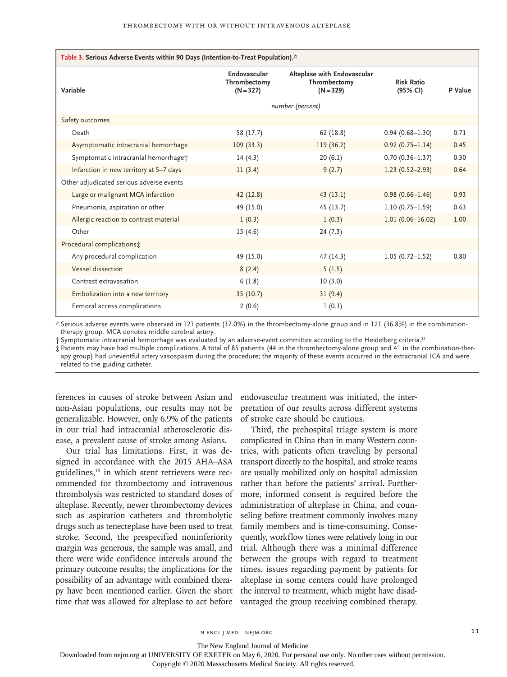| Table 3. Serious Adverse Events within 90 Days (Intention-to-Treat Population).* |                                             |                                                            |                               |         |  |  |  |  |
|----------------------------------------------------------------------------------|---------------------------------------------|------------------------------------------------------------|-------------------------------|---------|--|--|--|--|
| Variable                                                                         | Endovascular<br>Thrombectomy<br>$(N = 327)$ | Alteplase with Endovascular<br>Thrombectomy<br>$(N = 329)$ | <b>Risk Ratio</b><br>(95% CI) | P Value |  |  |  |  |
|                                                                                  | number (percent)                            |                                                            |                               |         |  |  |  |  |
| Safety outcomes                                                                  |                                             |                                                            |                               |         |  |  |  |  |
| Death                                                                            | 58 (17.7)                                   | 62(18.8)                                                   | $0.94(0.68 - 1.30)$           | 0.71    |  |  |  |  |
| Asymptomatic intracranial hemorrhage                                             | 109(33.3)                                   | 119 (36.2)                                                 | $0.92(0.75 - 1.14)$           | 0.45    |  |  |  |  |
| Symptomatic intracranial hemorrhage <sup>+</sup>                                 | 14(4.3)                                     | 20(6.1)                                                    | $0.70(0.36 - 1.37)$           | 0.30    |  |  |  |  |
| Infarction in new territory at 5-7 days                                          | 11(3.4)                                     | 9(2.7)                                                     | $1.23(0.52 - 2.93)$           | 0.64    |  |  |  |  |
| Other adjudicated serious adverse events                                         |                                             |                                                            |                               |         |  |  |  |  |
| Large or malignant MCA infarction                                                | 42 (12.8)                                   | 43(13.1)                                                   | $0.98(0.66 - 1.46)$           | 0.93    |  |  |  |  |
| Pneumonia, aspiration or other                                                   | 49 (15.0)                                   | 45 (13.7)                                                  | $1.10(0.75 - 1.59)$           | 0.63    |  |  |  |  |
| Allergic reaction to contrast material                                           | 1(0.3)                                      | 1(0.3)                                                     | $1.01(0.06 - 16.02)$          | 1.00    |  |  |  |  |
| Other                                                                            | 15(4.6)                                     | 24(7.3)                                                    |                               |         |  |  |  |  |
| Procedural complications;                                                        |                                             |                                                            |                               |         |  |  |  |  |
| Any procedural complication                                                      | 49 (15.0)                                   | 47 (14.3)                                                  | $1.05(0.72 - 1.52)$           | 0.80    |  |  |  |  |
| Vessel dissection                                                                | 8(2.4)                                      | 5(1.5)                                                     |                               |         |  |  |  |  |
| Contrast extravasation                                                           | 6(1.8)                                      | 10(3.0)                                                    |                               |         |  |  |  |  |
| Embolization into a new territory                                                | 35(10.7)                                    | 31(9.4)                                                    |                               |         |  |  |  |  |
| Femoral access complications                                                     | 2(0.6)                                      | 1(0.3)                                                     |                               |         |  |  |  |  |

\* Serious adverse events were observed in 121 patients (37.0%) in the thrombectomy-alone group and in 121 (36.8%) in the combinationtherapy group. MCA denotes middle cerebral artery.

† Symptomatic intracranial hemorrhage was evaluated by an adverse-event committee according to the Heidelberg criteria.24

‡ Patients may have had multiple complications. A total of 85 patients (44 in the thrombectomy-alone group and 41 in the combination-therapy group) had uneventful artery vasospasm during the procedure; the majority of these events occurred in the extracranial ICA and were related to the guiding catheter.

ferences in causes of stroke between Asian and non-Asian populations, our results may not be generalizable. However, only 6.9% of the patients in our trial had intracranial atherosclerotic disease, a prevalent cause of stroke among Asians.

Our trial has limitations. First, it was designed in accordance with the 2015 AHA–ASA guidelines,<sup>18</sup> in which stent retrievers were recommended for thrombectomy and intravenous thrombolysis was restricted to standard doses of alteplase. Recently, newer thrombectomy devices such as aspiration catheters and thrombolytic drugs such as tenecteplase have been used to treat stroke. Second, the prespecified noninferiority margin was generous, the sample was small, and there were wide confidence intervals around the primary outcome results; the implications for the possibility of an advantage with combined therapy have been mentioned earlier. Given the short time that was allowed for alteplase to act before

endovascular treatment was initiated, the interpretation of our results across different systems of stroke care should be cautious.

Third, the prehospital triage system is more complicated in China than in many Western countries, with patients often traveling by personal transport directly to the hospital, and stroke teams are usually mobilized only on hospital admission rather than before the patients' arrival. Furthermore, informed consent is required before the administration of alteplase in China, and counseling before treatment commonly involves many family members and is time-consuming. Consequently, workflow times were relatively long in our trial. Although there was a minimal difference between the groups with regard to treatment times, issues regarding payment by patients for alteplase in some centers could have prolonged the interval to treatment, which might have disadvantaged the group receiving combined therapy.

The New England Journal of Medicine

Downloaded from nejm.org at UNIVERSITY OF EXETER on May 6, 2020. For personal use only. No other uses without permission.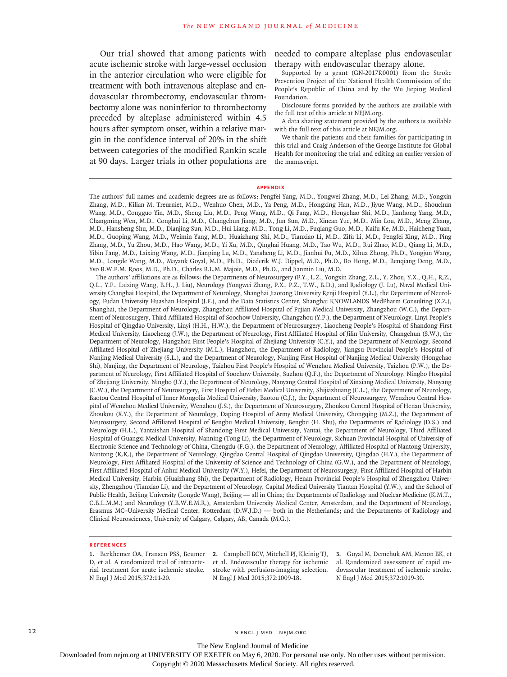Our trial showed that among patients with needed to compare alteplase plus endovascular acute ischemic stroke with large-vessel occlusion in the anterior circulation who were eligible for treatment with both intravenous alteplase and endovascular thrombectomy, endovascular thrombectomy alone was noninferior to thrombectomy preceded by alteplase administered within 4.5 hours after symptom onset, within a relative margin in the confidence interval of 20% in the shift between categories of the modified Rankin scale at 90 days. Larger trials in other populations are

therapy with endovascular therapy alone.

Supported by a grant (GN-2017R0001) from the Stroke Prevention Project of the National Health Commission of the People's Republic of China and by the Wu Jieping Medical Foundation.

Disclosure forms provided by the authors are available with the full text of this article at NEJM.org.

A data sharing statement provided by the authors is available with the full text of this article at NEJM.org.

We thank the patients and their families for participating in this trial and Craig Anderson of the George Institute for Global Health for monitoring the trial and editing an earlier version of the manuscript.

#### **Appendix**

The authors' full names and academic degrees are as follows: Pengfei Yang, M.D., Yongwei Zhang, M.D., Lei Zhang, M.D., Yongxin Zhang, M.D., Kilian M. Treurniet, M.D., Wenhuo Chen, M.D., Ya Peng, M.D., Hongxing Han, M.D., Jiyue Wang, M.D., Shouchun Wang, M.D., Congguo Yin, M.D., Sheng Liu, M.D., Peng Wang, M.D., Qi Fang, M.D., Hongchao Shi, M.D., Jianhong Yang, M.D., Changming Wen, M.D., Conghui Li, M.D., Changchun Jiang, M.D., Jun Sun, M.D., Xincan Yue, M.D., Min Lou, M.D., Meng Zhang, M.D., Hansheng Shu, M.D., Dianjing Sun, M.D., Hui Liang, M.D., Tong Li, M.D., Fuqiang Guo, M.D., Kaifu Ke, M.D., Haicheng Yuan, M.D., Guoping Wang, M.D., Weimin Yang, M.D., Huaizhang Shi, M.D., Tianxiao Li, M.D., Zifu Li, M.D., Pengfei Xing, M.D., Ping Zhang, M.D., Yu Zhou, M.D., Hao Wang, M.D., Yi Xu, M.D., Qinghai Huang, M.D., Tao Wu, M.D., Rui Zhao, M.D., Qiang Li, M.D., Yibin Fang, M.D., Laixing Wang, M.D., Jianping Lu, M.D., Yansheng Li, M.D., Jianhui Fu, M.D., Xihua Zhong, Ph.D., Yongjun Wang, M.D., Longde Wang, M.D., Mayank Goyal, M.D., Ph.D., Diederik W.J. Dippel, M.D., Ph.D., Bo Hong, M.D., Benqiang Deng, M.D., Yvo B.W.E.M. Roos, M.D., Ph.D., Charles B.L.M. Majoie, M.D., Ph.D., and Jianmin Liu, M.D.

The authors' affiliations are as follows: the Departments of Neurosurgery (P.Y., L.Z., Yongxin Zhang, Z.L., Y. Zhou, Y.X., Q.H., R.Z., Q.L., Y.F., Laixing Wang, B.H., J. Liu), Neurology (Yongwei Zhang, P.X., P.Z., T.W., B.D.), and Radiology (J. Lu), Naval Medical University Changhai Hospital, the Department of Neurology, Shanghai Jiaotong University Renji Hospital (Y.L.), the Department of Neurology, Fudan University Huashan Hospital (J.F.), and the Data Statistics Center, Shanghai KNOWLANDS MedPharm Consulting (X.Z.), Shanghai, the Department of Neurology, Zhangzhou Affiliated Hospital of Fujian Medical University, Zhangzhou (W.C.), the Department of Neurosurgery, Third Affiliated Hospital of Soochow University, Changzhou (Y.P.), the Department of Neurology, Linyi People's Hospital of Qingdao University, Linyi (H.H., H.W.), the Department of Neurosurgery, Liaocheng People's Hospital of Shandong First Medical University, Liaocheng (J.W.), the Department of Neurology, First Affiliated Hospital of Jilin University, Changchun (S.W.), the Department of Neurology, Hangzhou First People's Hospital of Zhejiang University (C.Y.), and the Department of Neurology, Second Affiliated Hospital of Zhejiang University (M.L.), Hangzhou, the Department of Radiology, Jiangsu Provincial People's Hospital of Nanjing Medical University (S.L.), and the Department of Neurology, Nanjing First Hospital of Nanjing Medical University (Hongchao Shi), Nanjing, the Department of Neurology, Taizhou First People's Hospital of Wenzhou Medical University, Taizhou (P.W.), the Department of Neurology, First Affiliated Hospital of Soochow University, Suzhou (Q.F.), the Department of Neurology, Ningbo Hospital of Zhejiang University, Ningbo (J.Y.), the Department of Neurology, Nanyang Central Hospital of Xinxiang Medical University, Nanyang (C.W.), the Department of Neurosurgery, First Hospital of Hebei Medical University, Shijiazhuang (C.L.), the Department of Neurology, Baotou Central Hospital of Inner Mongolia Medical University, Baotou (C.J.), the Department of Neurosurgery, Wenzhou Central Hospital of Wenzhou Medical University, Wenzhou (J.S.), the Department of Neurosurgery, Zhoukou Central Hospital of Henan University, Zhoukou (X.Y.), the Department of Neurology, Daping Hospital of Army Medical University, Chongqing (M.Z.), the Department of Neurosurgery, Second Affiliated Hospital of Bengbu Medical University, Bengbu (H. Shu), the Departments of Radiology (D.S.) and Neurology (H.L.), Yantaishan Hospital of Shandong First Medical University, Yantai, the Department of Neurology, Third Affiliated Hospital of Guangxi Medical University, Nanning (Tong Li), the Department of Neurology, Sichuan Provincial Hospital of University of Electronic Science and Technology of China, Chengdu (F.G.), the Department of Neurology, Affiliated Hospital of Nantong University, Nantong (K.K.), the Department of Neurology, Qingdao Central Hospital of Qingdao University, Qingdao (H.Y.), the Department of Neurology, First Affiliated Hospital of the University of Science and Technology of China (G.W.), and the Department of Neurology, First Affiliated Hospital of Anhui Medical University (W.Y.), Hefei, the Department of Neurosurgery, First Affiliated Hospital of Harbin Medical University, Harbin (Huaizhang Shi), the Department of Radiology, Henan Provincial People's Hospital of Zhengzhou University, Zhengzhou (Tianxiao Li), and the Department of Neurology, Capital Medical University Tiantan Hospital (Y.W.), and the School of Public Health, Beijing University (Longde Wang), Beijing — all in China; the Departments of Radiology and Nuclear Medicine (K.M.T., C.B.L.M.M.) and Neurology (Y.B.W.E.M.R.), Amsterdam University Medical Center, Amsterdam, and the Department of Neurology, Erasmus MC–University Medical Center, Rotterdam (D.W.J.D.) — both in the Netherlands; and the Departments of Radiology and Clinical Neurosciences, University of Calgary, Calgary, AB, Canada (M.G.).

#### **References**

D, et al. A randomized trial of intraarte-et al. Endovascular therapy for ischemic rial treatment for acute ischemic stroke. stroke with perfusion-imaging selection. N Engl J Med 2015;372:11-20.

**1.** Berkhemer OA, Fransen PSS, Beumer **2.** Campbell BCV, Mitchell PJ, Kleinig TJ, **3.** Goyal M, Demchuk AM, Menon BK, et N Engl J Med 2015;372:1009-18.

al. Randomized assessment of rapid endovascular treatment of ischemic stroke. N Engl J Med 2015;372:1019-30.

12 N ENGL J MED NEIM.ORG

The New England Journal of Medicine

Downloaded from nejm.org at UNIVERSITY OF EXETER on May 6, 2020. For personal use only. No other uses without permission.